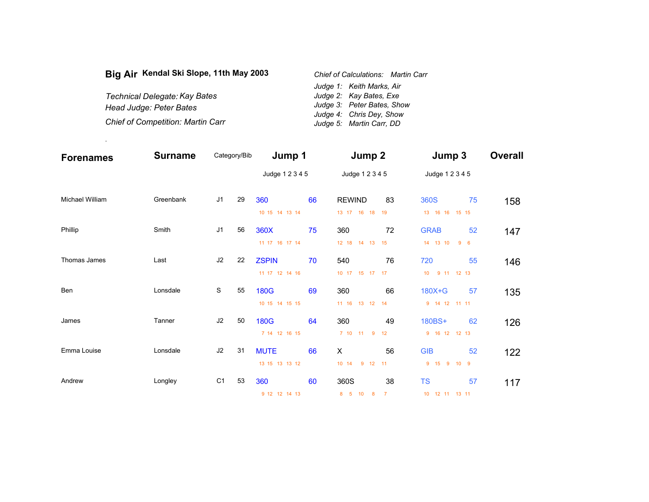| Big Air Kendal Ski Slope, 11th May 2003  | Chief of Calculations: Martin Carr |
|------------------------------------------|------------------------------------|
|                                          | Judge 1: Keith Marks, Air          |
| Technical Delegate: Kay Bates            | Judge 2: Kay Bates, Exe            |
| Head Judge: Peter Bates                  | Judge 3: Peter Bates, Show         |
|                                          | Judge 4: Chris Dey, Show           |
| <b>Chief of Competition: Martin Carr</b> | Judge 5: Martin Carr, DD           |

.

| <b>Forenames</b>       | <b>Surname</b> | Category/Bib   |    | Jump 1          |    | Jump 2                    |                | Jump 3                        |                 | <b>Overall</b> |
|------------------------|----------------|----------------|----|-----------------|----|---------------------------|----------------|-------------------------------|-----------------|----------------|
|                        |                |                |    | Judge 1 2 3 4 5 |    | Judge 1 2 3 4 5           |                | Judge 1 2 3 4 5               |                 |                |
| <b>Michael William</b> | Greenbank      | J <sub>1</sub> | 29 | 360             | 66 | <b>REWIND</b>             | 83             | 360S                          | 75              | 158            |
|                        |                |                |    | 10 15 14 13 14  |    | 13 17 16 18               | 19             | 13 16 16 15 15                |                 |                |
| Phillip                | Smith          | J <sub>1</sub> | 56 | 360X            | 75 | 360                       | 72             | <b>GRAB</b>                   | 52              | 147            |
|                        |                |                |    | 11 17 16 17 14  |    | 12 18 14 13               | 15             | 14 13 10<br>9                 | $6\overline{6}$ |                |
| Thomas James           | Last           | J2             | 22 | <b>ZSPIN</b>    | 70 | 540                       | 76             | 720                           | 55              | 146            |
|                        |                |                |    | 11 17 12 14 16  |    | 10 17 15 17 17            |                | 9 11 12 13<br>10 <sup>°</sup> |                 |                |
| Ben                    | Lonsdale       | S              | 55 | <b>180G</b>     | 69 | 360                       | 66             | 180X+G                        | 57              | 135            |
|                        |                |                |    | 10 15 14 15 15  |    | 11 16 13 12               | 14             | 9 14 12 11 11                 |                 |                |
| James                  | Tanner         | J2             | 50 | <b>180G</b>     | 64 | 360                       | 49             | 180BS+                        | 62              | 126            |
|                        |                |                |    | 7 14 12 16 15   |    | 7 10 11<br>9              | 12             | 9 16 12 12 13                 |                 |                |
| Emma Louise            | Lonsdale       | J2             | 31 | <b>MUTE</b>     | 66 | X                         | 56             | <b>GIB</b>                    | 52              | 122            |
|                        |                |                |    | 13 15 13 13 12  |    | $9$ 12<br>10 14           | 11             | 9 15 9<br>10 <sub>9</sub>     |                 |                |
| Andrew                 | Longley        | C <sub>1</sub> | 53 | 360             | 60 | 360S                      | 38             | <b>TS</b>                     | 57              | 117            |
|                        |                |                |    | 9 12 12 14 13   |    | 8 <sub>5</sub><br>10<br>8 | $\overline{7}$ | 10 12 11<br>13 11             |                 |                |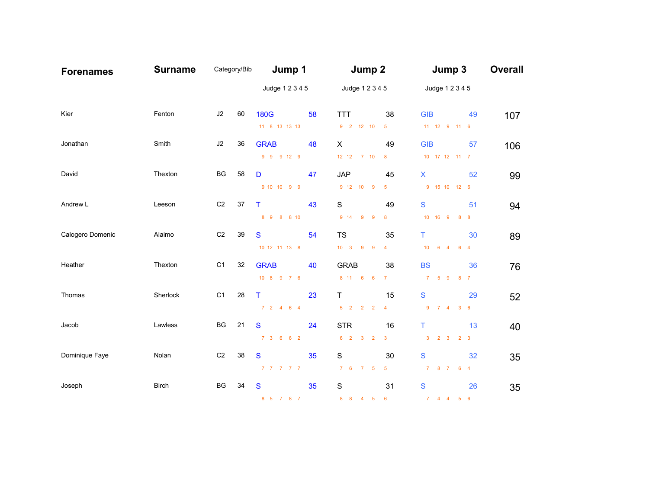| <b>Forenames</b> | <b>Surname</b> | Category/Bib   |    | Jump 1          |    | Jump 2                                    |                  | Jump 3                                     | <b>Overall</b> |
|------------------|----------------|----------------|----|-----------------|----|-------------------------------------------|------------------|--------------------------------------------|----------------|
|                  |                |                |    | Judge 1 2 3 4 5 |    | Judge 1 2 3 4 5                           |                  | Judge 1 2 3 4 5                            |                |
| Kier             | Fenton         | J2             | 60 | <b>180G</b>     | 58 | <b>TTT</b>                                | 38               | <b>GIB</b>                                 | 49<br>107      |
|                  |                |                |    | 11 8 13 13 13   |    | $9 \quad 2 \quad 12 \quad 10$             | $\overline{5}$   | 11 12 9 11 6                               |                |
| Jonathan         | Smith          | J2             | 36 | <b>GRAB</b>     | 48 | $\times$                                  | 49               | <b>GIB</b>                                 | 57<br>106      |
|                  |                |                |    | 9 9 9 12 9      |    | 12 12 7 10                                | $\boldsymbol{8}$ | 10 17 12 11 7                              |                |
| David            | Thexton        | BG             | 58 | D               | 47 | <b>JAP</b>                                | 45               | $\boldsymbol{\mathsf{X}}$                  | 52<br>99       |
|                  |                |                |    | 9 10 10 9 9     |    | 9 12 10 9                                 | 5 <sup>5</sup>   | 9 15 10 12 6                               |                |
| Andrew L         | Leeson         | C <sub>2</sub> | 37 | т               | 43 | S                                         | 49               | S                                          | 51<br>94       |
|                  |                |                |    | 8 9 8 8 10      |    | $9 \t14$<br>9<br>$\overline{\phantom{a}}$ | $\boldsymbol{8}$ | $10 \t16 \t9$<br>8 <sub>8</sub>            |                |
| Calogero Domenic | Alaimo         | C <sub>2</sub> | 39 | S               | 54 | <b>TS</b>                                 | 35               | T.                                         | 30<br>89       |
|                  |                |                |    | 10 12 11 13 8   |    | 10 3 9 9                                  | $\overline{4}$   | $10 \qquad 6 \qquad 4$<br>6 <sup>4</sup>   |                |
| Heather          | Thexton        | C <sub>1</sub> | 32 | <b>GRAB</b>     | 40 | <b>GRAB</b>                               | 38               | <b>BS</b>                                  | 36<br>76       |
|                  |                |                |    | 10 8 9 7 6      |    | 8 11 6 6                                  | $\overline{7}$   | 7 5 9 8 7                                  |                |
| Thomas           | Sherlock       | C <sub>1</sub> | 28 | T.              | 23 | T                                         | 15               | S                                          | 29<br>52       |
|                  |                |                |    | 7 2 4 6 4       |    | $5 \quad 2 \qquad 2 \qquad 2$             | $\overline{4}$   | $9 \t 7 \t 4$<br>$3\quad 6$                |                |
| Jacob            | Lawless        | BG             | 21 | S               | 24 | <b>STR</b>                                | 16               | Τ                                          | 13<br>40       |
|                  |                |                |    | 7 3 6 6 2       |    | 6 2 3 2                                   | $\mathbf{3}$     | $\mathbf{3}$<br>$2 \quad 3$<br>$2 \quad 3$ |                |
| Dominique Faye   | Nolan          | C <sub>2</sub> | 38 | S               | 35 | S                                         | 30               | S                                          | 32<br>35       |
|                  |                |                |    | 7 7 7 7 7       |    | $7 \quad 6 \qquad 7 \qquad 5$             | $5\phantom{.0}$  | 7 8 7 6 4                                  |                |
| Joseph           | <b>Birch</b>   | BG             | 34 | S               | 35 | S                                         | 31               | S                                          | 26<br>35       |
|                  |                |                |    | 8 5 7 8 7       |    | 8 8 4 5                                   | $6\overline{6}$  | $5\quad 6$<br>$7 \quad 4 \quad 4$          |                |